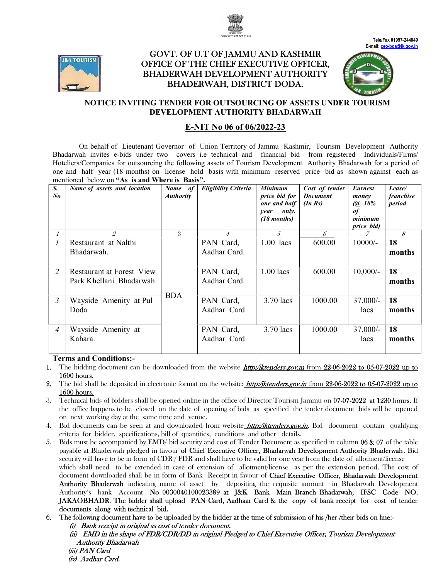



# <u>GOVT. OF U.T OF JAMMU AND KASHMIR</u> OFFICE OF THE CHIEF EXECUTIVE OFFICER, OFFICER, BHADERWAH DEVELOPMENT AUTHORITY BHADERWAH, DISTRICT DODA.





## NOTICE INVITING TENDER FOR OUTSOURCING OF ASSETS UNDER TOURISM DEVELOPMENT AUTHORITY BHADARWAH

## E-NIT No 06 of 06/2022-23

On behalf of Lieutenant Governor of Union Territory of Jammu Kashmir, Tourism Tourism Development Authority Bhadarwah invites e-bids under two covers i.e technical and financial bid from registered Individuals/Firms/ Hoteliers/Companies for outsourcing the following assets of Tourism Development Authority Bhadarwah for a period of one and half year (18 months) on license hold basis with minimum reserved price bid as shown against each as mentioned below on "As is and Where is Basis".

| S.<br>$N_{0}$  | Name of assets and location | Name of<br><b>Authority</b> | Eligibility Criteria | <b>Minimum</b><br>price bid for<br>one and half<br>only.<br>year<br>$(18$ months) | Cost of tender<br><b>Document</b><br>$(In\, Rs)$ | <b>Earnest</b><br>money<br>$(Q\ 10\%)$<br>of<br>minimum<br>price bid) | Lease/<br><i>franchise</i><br>period |
|----------------|-----------------------------|-----------------------------|----------------------|-----------------------------------------------------------------------------------|--------------------------------------------------|-----------------------------------------------------------------------|--------------------------------------|
|                | 2                           | 3                           | 4                    | $\mathcal{L}$                                                                     | 6                                                | 7                                                                     | 8                                    |
| $\prime$       | Restaurant at Nalthi        |                             | PAN Card,            | $1.00$ lacs                                                                       | 600.00                                           | $10000/-$                                                             | 18                                   |
|                | Bhadarwah.                  |                             | Aadhar Card.         |                                                                                   |                                                  |                                                                       | months                               |
| 2              | Restaurant at Forest View   |                             | PAN Card,            | $1.00$ lacs                                                                       | 600.00                                           | $10,000/-$                                                            | 18                                   |
|                | Park Khellani Bhadarwah     |                             | Aadhar Card.         |                                                                                   |                                                  |                                                                       | months                               |
| $\mathfrak{Z}$ | Wayside Amenity at Pul      | <b>BDA</b>                  | PAN Card,            | $3.70$ lacs                                                                       | 1000.00                                          | $37,000/-$                                                            | 18                                   |
|                | Doda                        |                             | Aadhar Card          |                                                                                   |                                                  | lacs                                                                  | months                               |
|                |                             |                             |                      |                                                                                   |                                                  |                                                                       |                                      |
| $\overline{4}$ | Wayside Amenity at          |                             | PAN Card,            | $3.70$ lacs                                                                       | 1000.00                                          | $37,000/-$                                                            | 18                                   |
|                | Kahara.                     |                             | Aadhar Card          |                                                                                   |                                                  | lacs                                                                  | months                               |
|                |                             |                             |                      |                                                                                   |                                                  |                                                                       |                                      |

### Terms and Conditions:-

- 1. The bidding document can be downloaded from the website *http:/jktenders.gov.in* from 22-06-2022 to 05-07-2022 up to 1600 hours.
- 2. The bid shall be deposited in electronic format on the website: *http:/jktenders.gov.in* from 22-06-2022 to 05-07-2022 up to 1600 hours.
- 3. Technical bids of bidders shall be opened online in the office of Director Tourism Jammu on 07-07-2022 at 1230 hours. If the office happens to be closed on the date of opening of bids as specified the tender document bids will be opened<br>on next working day at the same time and venue. on next working day at the same time and venue
- 4. Bid documents can be seen at and downloaded from website http://iktenders.gov.in. Bid document contain qualifying criteria for bidder, specifications, bill of quantities, conditions and other details. 4. Bid documents can be seen at and downloaded from website *http://ktenders.gov.in*. Bid document contain qualifying criteria for bidder, specifications, bill of quantities, conditions and other details.<br>5. Bids must be a
- payable at Bhaderwah pledged in favour of Chief Executive Officer, Bhadarwah Development Authority Bhaderwah. Bid security will have to be in form of  $CDR$  /  $FDR$  and shall have to be valid for one year from the date of allotment/license security will have to be in form of CDR / FDR and shall have to be valid for one year from the date of allotment/license<br>which shall need to be extended in case of extension of allotment/license as per the extension period which shall need to be extended in case of extension of allotment/license as per the extension period. The cost of<br>document downloaded shall be in form of Bank Receipt in favour of **Chief Executive Officer, Bhadarwah Devel** Authority Bhaderwah indicating name of asset by depositing the requisite amount in Bhadarwah Development Authority's bank Account No 0030040100023389 at J&K Bank Main Branch Bhadarwah, IFSC Code NO. JAKAOBHADR. The bidder shall upload PAN Card, Aadhaar Card & the copy of bank receipt for cost of tender documents along with technical bid. depositing the requisite amount in Bhadarwah, Development<br> **t J&K Bank Main Branch Bhadarwah, IFSC Code NO.**<br> **Aadhaar Card & the copy of bank receipt for cost of tender**<br>
er at the time of submission of his /her /their bi
- 6. The following document have to be uploaded by the bidder at the time of submission of his /her /their bids on line: (i) Bank receipt in original as cost of tender document.

(ii) EMD in the shape of FDR/CDR/DD in original Pledged to Chief Executive Officer, Tourism Development Authority Bhadarwah (iii) PAN Card (iv) Aadhar Card.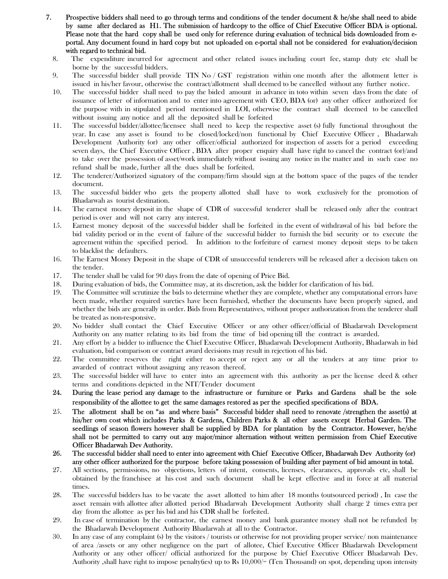- 7. Prospective bidders shall need to go through terms and conditions of the tender document & he/she shall need to abide by same after declared as H1. The submission of hardcopy to the office of Chief Executive Officer BDA is optional. Please note that the hard copy shall be used only for reference during evaluation of technical bids downloaded from eportal. Any document found in hard copy but not uploaded on e-portal shall not be considered for evaluation/decision with regard to technical bid.
	- 8. The expenditure incurred for agreement and other related issues including court fee, stamp duty etc shall be borne by the successful bidders.
	- 9. The successful bidder shall provide TIN No / GST registration within one month after the allotment letter is issued in his/her favour, otherwise the contract/allotment shall deemed to be cancelled without any further notice.
	- 10. The successful bidder shall need to pay the bided amount in advance in toto within seven days from the date of issuance of letter of information and to enter into agreement with CEO, BDA (or) any other officer authorized for the purpose with in stipulated period mentioned in LOI, otherwise the contract shall deemed to be cancelled without issuing any notice and all the deposited shall be forfeited
	- 11. The successful bidder/allottee/licensee shall need to keep the respective asset (s) fully functional throughout the year. In case any asset is found to be closed/locked/non functional by Chief Executive Officer , Bhadarwah Development Authority (or) any other officer/official authorized for inspection of assets for a period exceeding seven days, the Chief Executive Officer , BDA after proper enquiry shall have right to cancel the contract (or)/and to take over the possession of asset/work immediately without issuing any notice in the matter and in such case no refund shall be made, further all the dues shall be forfeited.
	- 12. The tenderer/Authorized signatory of the company/firm should sign at the bottom space of the pages of the tender document.
	- 13. The successful bidder who gets the property allotted shall have to work exclusively for the promotion of Bhadarwah as tourist destination.
	- 14. The earnest money deposit in the shape of CDR of successful tenderer shall be released only after the contract period is over and will not carry any interest.
	- 15. Earnest money deposit of the successful bidder shall be forfeited in the event of withdrawal of his bid before the bid validity period or in the event of failure of the successful bidder to furnish the bid security or to execute the agreement within the specified period. In addition to the forfeiture of earnest money deposit steps to be taken to blacklist the defaulters.
	- 16. The Earnest Money Deposit in the shape of CDR of unsuccessful tenderers will be released after a decision taken on the tender.
	- 17. The tender shall be valid for 90 days from the date of opening of Price Bid.
	- 18. During evaluation of bids, the Committee may, at its discretion, ask the bidder for clarification of his bid.
	- 19. The Committee will scrutinize the bids to determine whether they are complete, whether any computational errors have been made, whether required sureties have been furnished, whether the documents have been properly signed, and whether the bids are generally in order. Bids from Representatives, without proper authorization from the tenderer shall be treated as non-responsive.
	- 20. No bidder shall contact the Chief Executive Officer or any other officer/official of Bhadarwah Development Authority on any matter relating to its bid from the time of bid opening till the contract is awarded.
	- 21. Any effort by a bidder to influence the Chief Executive Officer, Bhadarwah Development Authority, Bhadarwah in bid evaluation, bid comparison or contract award decisions may result in rejection of his bid.
	- 22. The committee reserves the right either to accept or reject any or all the tenders at any time prior to awarded of contract without assigning any reason thereof.
	- 23. The successful bidder will have to enter into an agreement with this authority as per the license deed & other terms and conditions depicted in the NIT/Tender document
	- 24. During the lease period any damage to the infrastructure or furniture or Parks and Gardens shall be the sole responsibility of the allottee to get the same damages restored as per the specified specifications of BDA.
	- 25. The allotment shall be on "as and where basis" Successful bidder shall need to renovate /strengthen the asset(s) at his/her own cost which includes Parks & Gardens, Children Parks & all other assets except Herbal Garden. The seedlings of season flowers however shall be supplied by BDA for plantation by the Contractor. However, he/she shall not be permitted to carry out any major/minor alternation without written permission from Chief Executive Officer Bhadarwah Dev Authority.
	- 26. The successful bidder shall need to enter into agreement with Chief Executive Officer, Bhadarwah Dev Authority (or) any other officer authorized for the purpose before taking possession of building after payment of bid amount in total.
	- 27. All sections, permissions, no objections, letters of intent, consents, licenses, clearances, approvals etc, shall be obtained by the franchisee at his cost and such document shall be kept effective and in force at all material times.
	- 28. The successful bidders has to be vacate the asset allotted to him after 18 months (outsourced period) , In case the asset remain with allottee after allotted period Bhadarwah Development Authority shall charge 2 times extra per day from the allottee as per his bid and his CDR shall be forfeited.
	- 29. In case of termination by the contractor, the earnest money and bank guarantee money shall not be refunded by the Bhadarwah Development Authority Bhadarwah at all to the Contractor.
	- 30. In any case of any complaint (s) by the visitors / tourists or otherwise for not providing proper service/ non maintenance of area /assets or any other negligence on the part of allotee, Chief Executive Officer Bhadarwah Development Authority or any other officer/ official authorized for the purpose by Chief Executive Officer Bhadarwah Dev. Authority ,shall have right to impose penalty(ies) up to Rs 10,000/= (Ten Thousand) on spot, depending upon intensity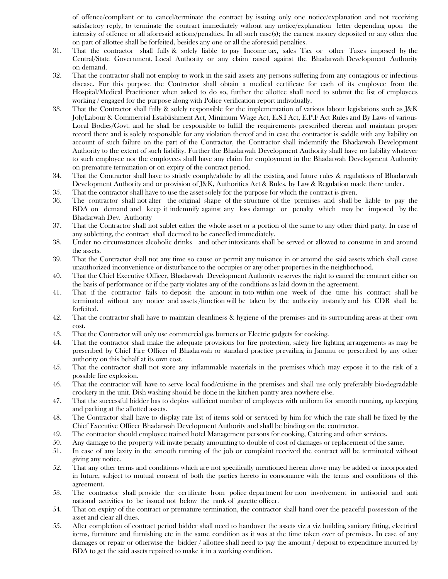of offence/compliant or to cancel/terminate the contract by issuing only one notice/explanation and not receiving satisfactory reply, to terminate the contract immediately without any notice/explanation letter depending upon the intensity of offence or all aforesaid actions/penalties. In all such case(s); the earnest money deposited or any other due on part of allottee shall be forfeited, besides any one or all the aforesaid penalties.

- 31. That the contractor shall fully & solely liable to pay Income tax, sales Tax or other Taxes imposed by the Central/State Government, Local Authority or any claim raised against the Bhadarwah Development Authority on demand.
- 32. That the contractor shall not employ to work in the said assets any persons suffering from any contagious or infectious disease. For this purpose the Contractor shall obtain a medical certificate for each of its employee from the Hospital/Medical Practitioner when asked to do so, further the allottee shall need to submit the list of employees working / engaged for the purpose along with Police verification report individually.
- 33. That the Contractor shall fully & solely responsible for the implementation of various labour legislations such as J&K Job/Labour & Commercial Establishment Act, Minimum Wage Act, E.S.I Act, E.P.F Act Rules and By Laws of various Local Bodies/Govt. and he shall be responsible to fulfill the requirements prescribed therein and maintain proper record there and is solely responsible for any violation thereof and in case the contractor is saddle with any liability on account of such failure on the part of the Contractor, the Contractor shall indemnify the Bhadarwah Development Authority to the extent of such liability. Further the Bhadarwah Development Authority shall have no liability whatever to such employee nor the employees shall have any claim for employment in the Bhadarwah Development Authority on premature termination or on expiry of the contract period.
- 34. That the Contractor shall have to strictly comply/abide by all the existing and future rules & regulations of Bhadarwah Development Authority and or provision of J&K, Authorities Act & Rules, by Law & Regulation made there under.
- 35. That the contractor shall have to use the asset solely for the purpose for which the contract is given.
- 36. The contractor shall not alter the original shape of the structure of the premises and shall be liable to pay the BDA on demand and keep it indemnify against any loss damage or penalty which may be imposed by the Bhadarwah Dev. Authority
- 37. That the Contractor shall not sublet either the whole asset or a portion of the same to any other third party. In case of any subletting, the contract shall deemed to be cancelled immediately.
- 38. Under no circumstances alcoholic drinks and other intoxicants shall be served or allowed to consume in and around the assets.
- 39. That the Contractor shall not any time so cause or permit any nuisance in or around the said assets which shall cause unauthorized inconvenience or disturbance to the occupies or any other properties in the neighborhood.
- 40. That the Chief Executive Officer, Bhadarwah Development Authority reserves the right to cancel the contract either on the basis of performance or if the party violates any of the conditions as laid down in the agreement.
- 41. That if the contractor fails to deposit the amount in toto within one week of due time his contract shall be terminated without any notice and assets /function will be taken by the authority instantly and his CDR shall be forfeited.
- 42. That the contractor shall have to maintain cleanliness & hygiene of the premises and its surrounding areas at their own cost.
- 43. That the Contractor will only use commercial gas burners or Electric gadgets for cooking.
- 44. That the contractor shall make the adequate provisions for fire protection, safety fire fighting arrangements as may be prescribed by Chief Fire Officer of Bhadarwah or standard practice prevailing in Jammu or prescribed by any other authority on this behalf at its own cost.
- 45. That the contractor shall not store any inflammable materials in the premises which may expose it to the risk of a possible fire explosion.
- 46. That the contractor will have to serve local food/cuisine in the premises and shall use only preferably bio-degradable crockery in the unit. Dish washing should be done in the kitchen pantry area nowhere else.
- 47. That the successful bidder has to deploy sufficient number of employees with uniform for smooth running, up keeping and parking at the allotted assets.
- 48. The Contractor shall have to display rate list of items sold or serviced by him for which the rate shall be fixed by the Chief Executive Officer Bhadarwah Development Authority and shall be binding on the contractor.
- 49. The contractor should employee trained hotel Management persons for cooking, Catering and other services.
- 50. Any damage to the property will invite penalty amounting to double of cost of damages or replacement of the same.
- 51. In case of any laxity in the smooth running of the job or complaint received the contract will be terminated without giving any notice.
- 52. That any other terms and conditions which are not specifically mentioned herein above may be added or incorporated in future, subject to mutual consent of both the parties hereto in consonance with the terms and conditions of this agreement.
- 53. The contractor shall provide the certificate from police department for non involvement in antisocial and anti national activities to be issued not below the rank of gazette officer.
- 54. That on expiry of the contract or premature termination, the contractor shall hand over the peaceful possession of the asset and clear all dues.
- 55. After completion of contract period bidder shall need to handover the assets viz a viz building sanitary fitting, electrical items, furniture and furnishing etc in the same condition as it was at the time taken over of premises. In case of any damages or repair or otherwise the bidder / allottee shall need to pay the amount / deposit to expenditure incurred by BDA to get the said assets repaired to make it in a working condition.